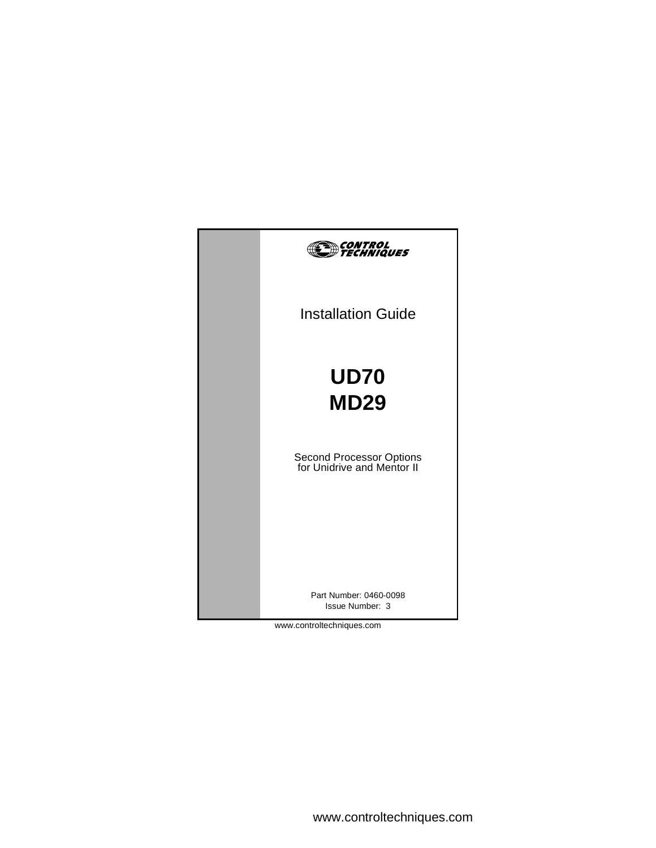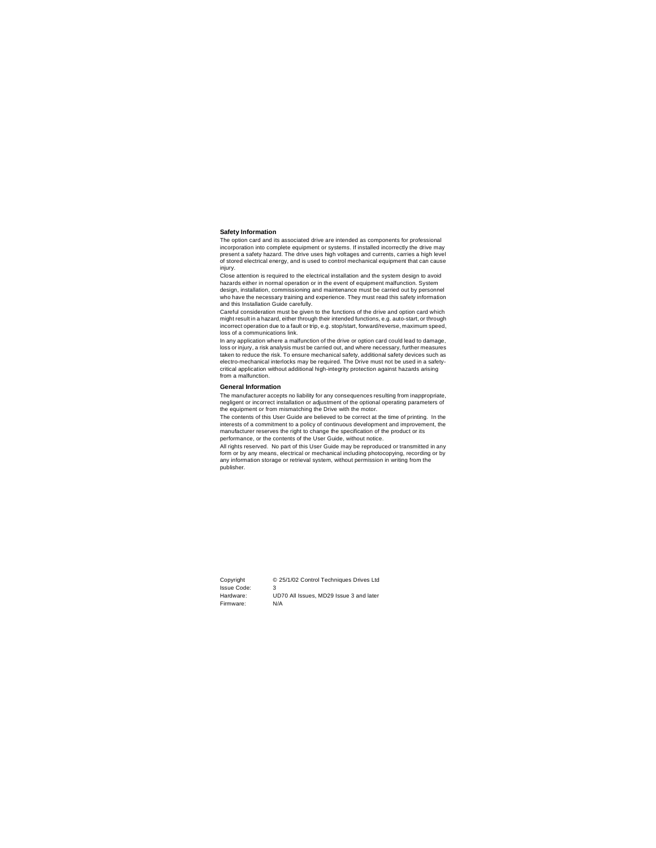#### **Safety Information**

The option card and its associated drive are intended as components for professional incorporation into complete equipment or systems. If installed incorrectly the drive may present a safety hazard. The drive uses high voltages and currents, carries a high level of stored electrical energy, and is used to control mechanical equipment that can cause injury.

Close attention is required to the electrical installation and the system design to avoid hazards either in normal operation or in the event of equipment malfunction. System design, installation, commissioning and maintenance must be carried out by personnel who have the necessary training and experience. They must read this safety information and this Installation Guide carefully.

Careful consideration must be given to the functions of the drive and option card which might result in a hazard, either through their intended functions, e.g. auto-start, or through incorrect operation due to a fault or trip, e.g. stop/start, forward/reverse, maximum speed, loss of a communications link.

In any application where a malfunction of the drive or option card could lead to damage, loss or injury, a risk analysis must be carried out, and where necessary, further measures taken to reduce the risk. To ensure mechanical safety, additional safety devices such as electro-mechanical interlocks may be required. The Drive must not be used in a safetycritical application without additional high-integrity protection against hazards arising from a malfunction.

#### **General Information**

The manufacturer accepts no liability for any consequences resulting from inappropriate, negligent or incorrect installation or adjustment of the optional operating parameters of the equipment or from mismatching the Drive with the motor.

The contents of this User Guide are believed to be correct at the time of printing. In the interests of a commitment to a policy of continuous development and improvement, the manufacturer reserves the right to change the specification of the product or its performance, or the contents of the User Guide, without notice.

All rights reserved. No part of this User Guide may be reproduced or transmitted in any form or by any means, electrical or mechanical including photocopying, recording or by any information storage or retrieval system, without permission in writing from the publisher.

| Copyright   | © 25/1/02 Control Techniques Drives Ltd |
|-------------|-----------------------------------------|
| Issue Code: | 3                                       |
| Hardware:   | UD70 All Issues, MD29 Issue 3 and later |
| Firmware:   | N/A                                     |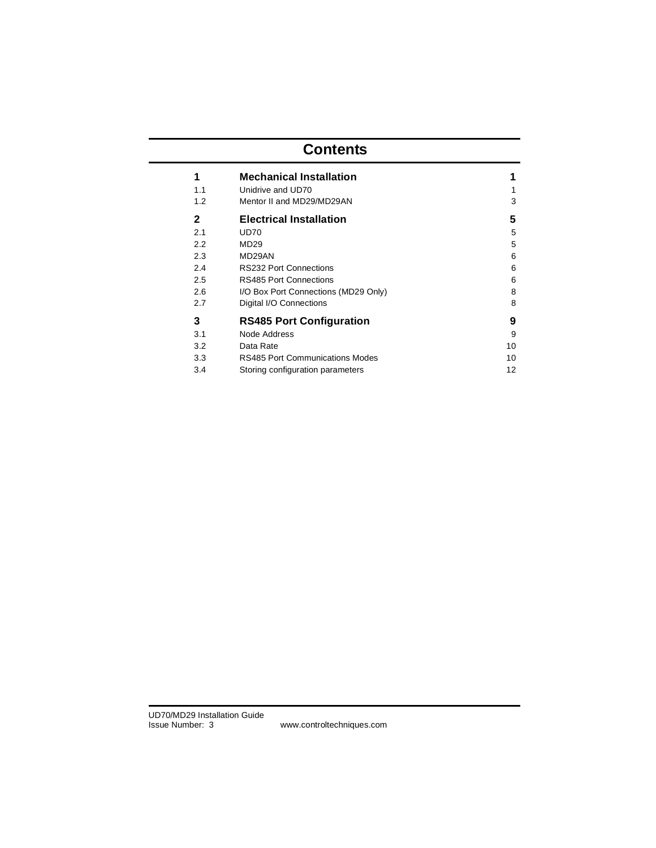# **Contents**

|            | <b>Mechanical Installation</b>                 | 1      |
|------------|------------------------------------------------|--------|
| 1.1<br>1.2 | Unidrive and UD70<br>Mentor II and MD29/MD29AN | 1<br>3 |
| 2          | <b>Electrical Installation</b>                 | 5      |
| 2.1        | UD70                                           | 5      |
| 2.2        | MD <sub>29</sub>                               | 5      |
| 2.3        | MD29AN                                         | 6      |
| 2.4        | <b>RS232 Port Connections</b>                  | 6      |
| 2.5        | <b>RS485 Port Connections</b>                  | 6      |
| 2.6        | I/O Box Port Connections (MD29 Only)           | 8      |
| 2.7        | Digital I/O Connections                        | 8      |
| 3          | <b>RS485 Port Configuration</b>                | 9      |
| 3.1        | Node Address                                   | 9      |
| 3.2        | Data Rate                                      | 10     |
| 3.3        | RS485 Port Communications Modes                | 10     |
| 3.4        | Storing configuration parameters               | 12     |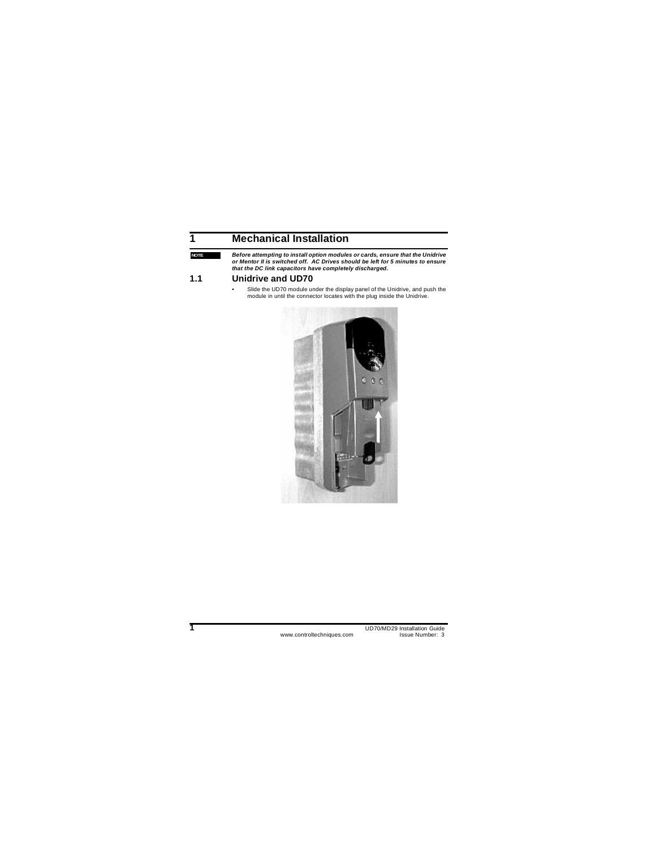## **1 Mechanical Installation**

**NOTE**

*Before attempting to install option modules or cards, ensure that the Unidrive or Mentor II is switched off. AC Drives should be left for 5 minutes to ensure that the DC link capacitors have completely discharged.*

### **1.1 Unidrive and UD70**

Slide the UD70 module under the display panel of the Unidrive, and push the module in until the connector locates with the plug inside the Unidrive.

<span id="page-3-1"></span><span id="page-3-0"></span>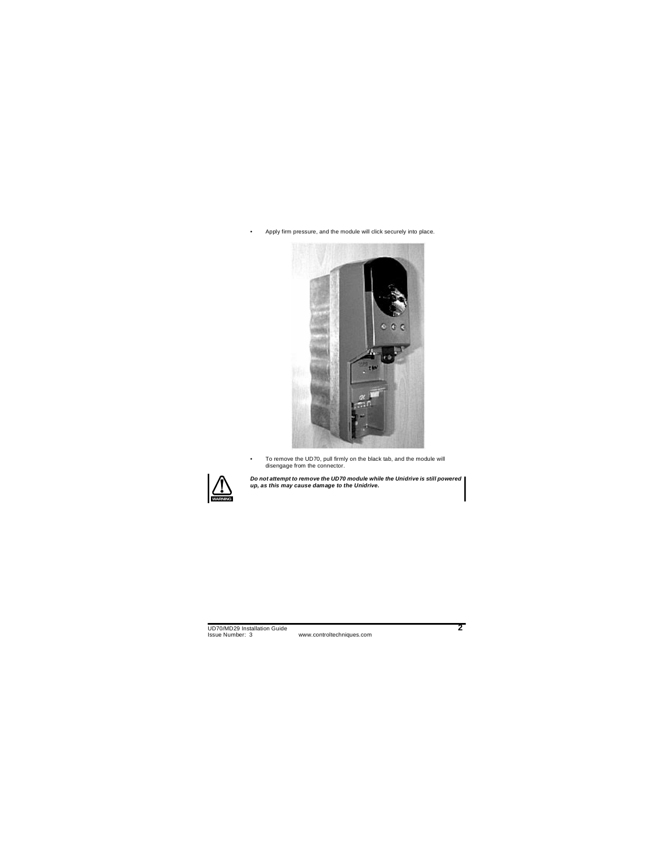Apply firm pressure, and the module will click securely into place.



• To remove the UD70, pull firmly on the black tab, and the module will disengage from the connector.



*Do not attempt to remove the UD70 module while the Unidrive is still powered up, as this may cause damage to the Unidrive.*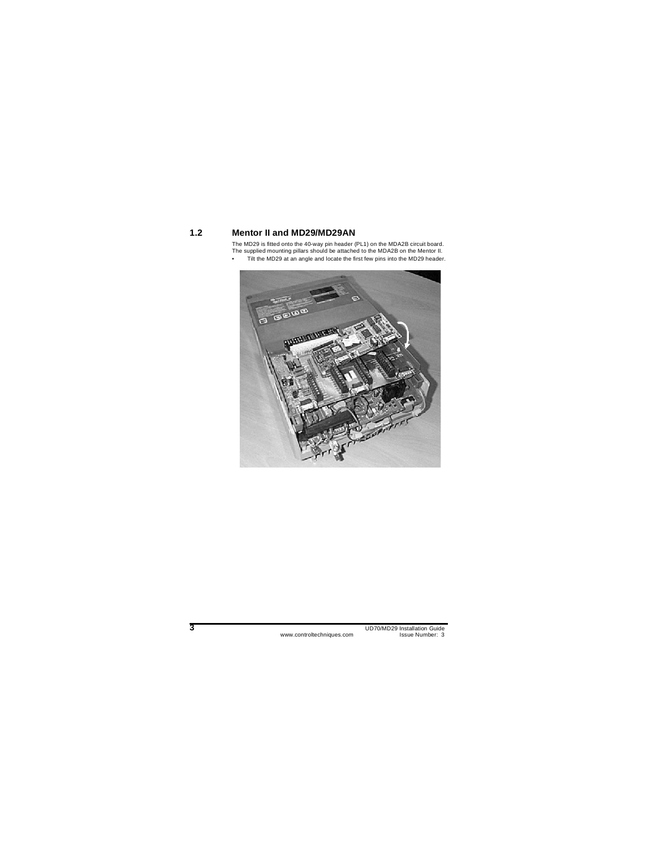### **1.2 Mentor II and MD29/MD29AN**

The MD29 is fitted onto the 40-way pin header (PL1) on the MDA2B circuit board. The supplied mounting pillars should be attached to the MDA2B on the Mentor II.

• Tilt the MD29 at an angle and locate the first few pins into the MD29 header.

<span id="page-5-0"></span>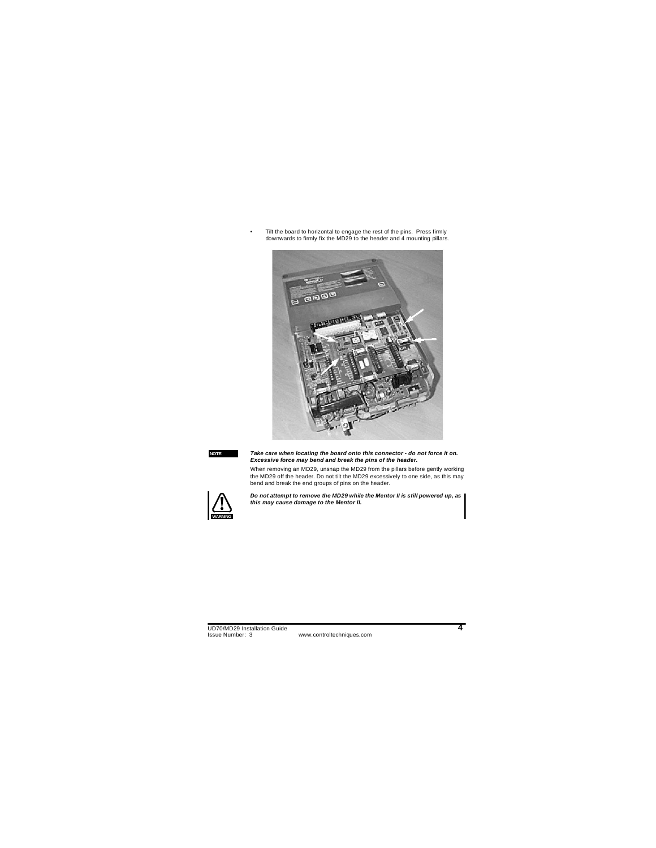Tilt the board to horizontal to engage the rest of the pins. Press firmly downwards to firmly fix the MD29 to the header and 4 mounting pillars.



#### **NOTE**

*Take care when locating the board onto this connector - do not force it on. Excessive force may bend and break the pins of the header.*

When removing an MD29, unsnap the MD29 from the pillars before gently working the MD29 off the header. Do not tilt the MD29 excessively to one side, as this may bend and break the end groups of pins on the header.



*Do not attempt to remove the MD29 while the Mentor II is still powered up, as this may cause damage to the Mentor II.*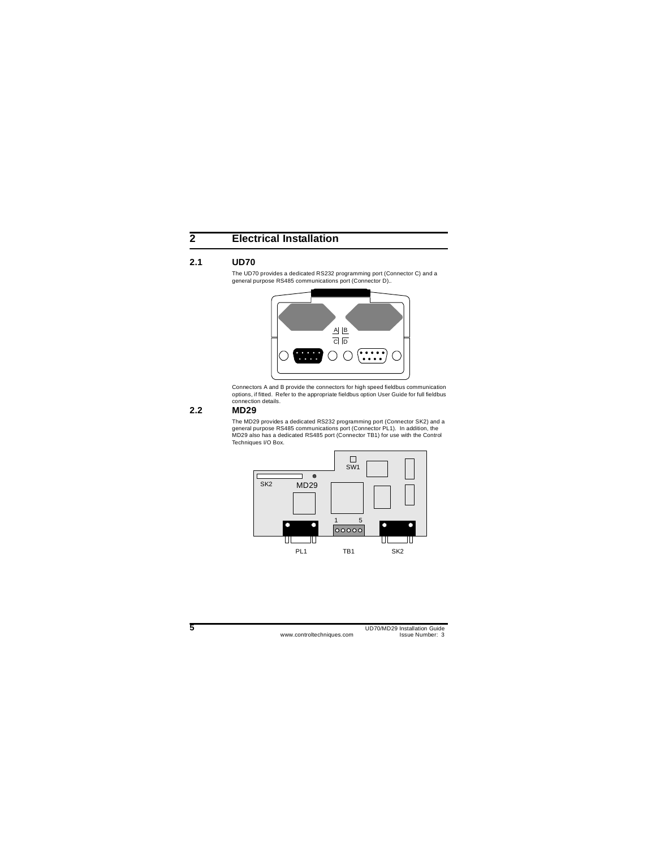## **2 Electrical Installation**

### **2.1 UD70**

The UD70 provides a dedicated RS232 programming port (Connector C) and a general purpose RS485 communications port (Connector D)..

<span id="page-7-0"></span>

<span id="page-7-1"></span>Connectors A and B provide the connectors for high speed fieldbus communication options, if fitted. Refer to the appropriate fieldbus option User Guide for full fieldbus connection details.

### **2.2 MD29**

The MD29 provides a dedicated RS232 programming port (Connector SK2) and a general purpose RS485 communications port (Connector PL1). In addition, the MD29 also has a dedicated RS485 port (Connector TB1) for use with the Control Techniques I/O Box.

<span id="page-7-2"></span>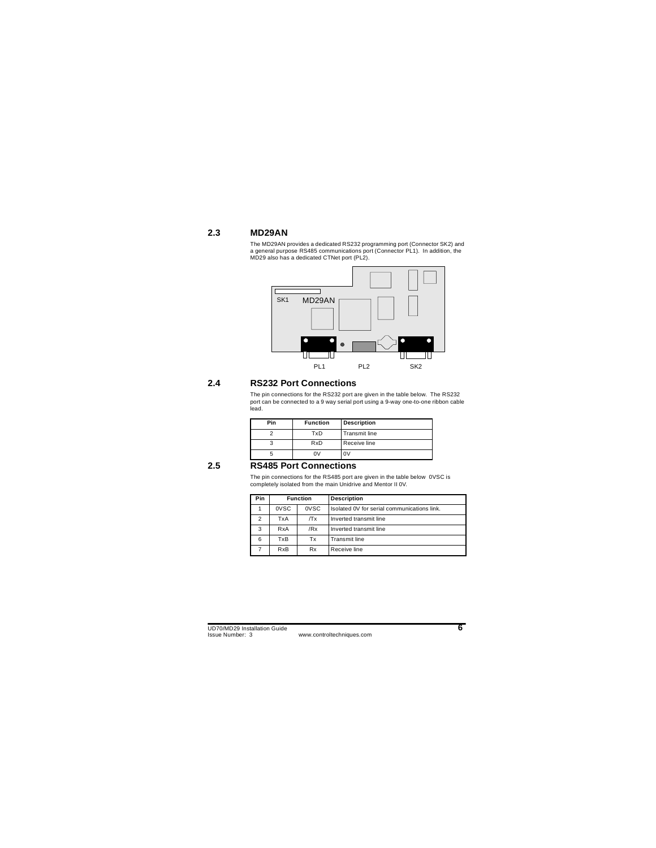## **2.3 MD29AN**

The MD29AN provides a dedicated RS232 programming port (Connector SK2) and a general purpose RS485 communications port (Connector PL1). In addition, the MD29 also has a dedicated CTNet port (PL2).

<span id="page-8-0"></span>

### **2.4 RS232 Port Connections**

The pin connections for the RS232 port are given in the table below. The RS232 port can be connected to a 9 way serial port using a 9-way one-to-one ribbon cable lead.

| Pin | <b>Function</b> | <b>Description</b>   |
|-----|-----------------|----------------------|
|     | TxD             | <b>Transmit line</b> |
| 3   | RxD             | Receive line         |
|     | n٧              | ٦V                   |

### **2.5 RS485 Port Connections**

<span id="page-8-1"></span>The pin connections for the RS485 port are given in the table below 0VSC is completely isolated from the main Unidrive and Mentor II 0V.

<span id="page-8-2"></span>

| Pin | <b>Function</b>         |      | <b>Description</b>                          |
|-----|-------------------------|------|---------------------------------------------|
|     | 0VSC                    | 0VSC | Isolated 0V for serial communications link. |
| 2   | TxA                     | /Tx  | Inverted transmit line                      |
| 3   | RxA                     | /Rx  | Inverted transmit line                      |
| 6   | TxB                     | Тx   | <b>Transmit line</b>                        |
|     | <b>R</b> x <sub>B</sub> | Rx   | Receive line                                |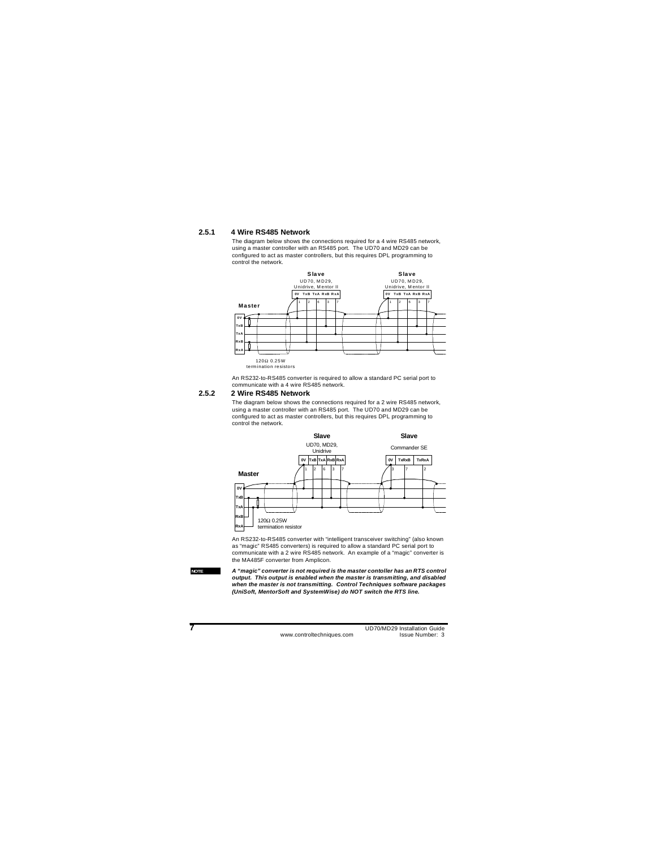#### **2.5.1 4 Wire RS485 Network**

The diagram below shows the connections required for a 4 wire RS485 network, using a master controller with an RS485 port. The UD70 and MD29 can be configured to act as master controllers, but this requires DPL programming to control the network.



An RS232-to-RS485 converter is required to allow a standard PC serial port to communicate with a 4 wire RS485 network.

#### **2.5.2 2 Wire RS485 Network**

The diagram below shows the connections required for a 2 wire RS485 network, using a master controller with an RS485 port. The UD70 and MD29 can be configured to act as master controllers, but this requires DPL programming to control the network.



An RS232-to-RS485 converter with "intelligent transceiver switching" (also known as "magic" RS485 converters) is required to allow a standard PC serial port to communicate with a 2 wire RS485 network. An example of a "magic" converter is the MA485F converter from Amplicon.

#### **NOTE**

*A "magic" converter is not required is the master contoller has an RTS control output. This output is enabled when the master is transmitting, and disabled when the master is not transmitting. Control Techniques software packages (UniSoft, MentorSoft and SystemWise) do NOT switch the RTS line.*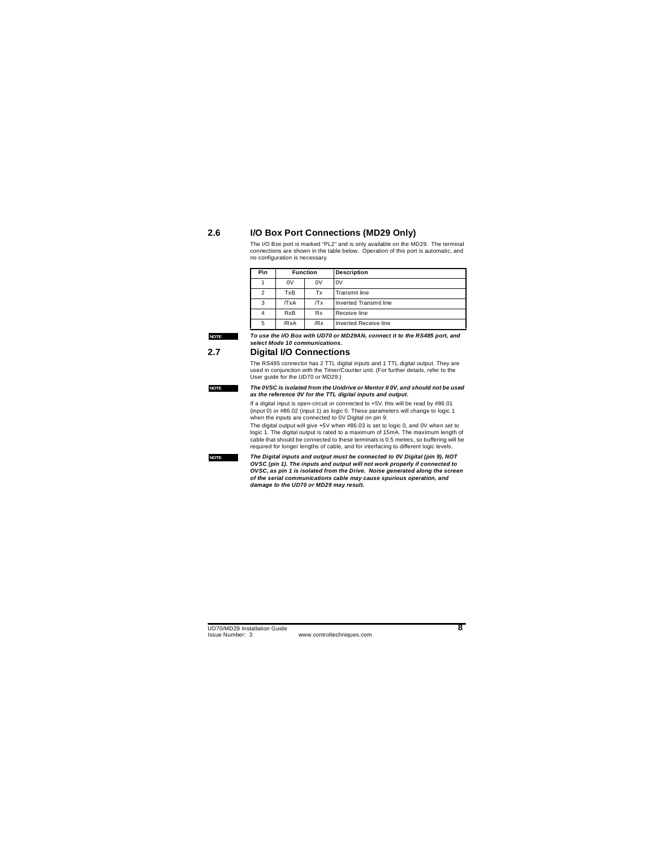### **2.6 I/O Box Port Connections (MD29 Only)**

The I/O Box port is marked "PL2" and is only available on the MD29. The terminal connections are shown in the table below. Operation of this port is automatic, and no configuration is necessary.

| Pin            | <b>Function</b> |     | <b>Description</b>           |
|----------------|-----------------|-----|------------------------------|
|                | 0V              | 0V  | 0V                           |
| $\overline{2}$ | TxB             | Tx  | <b>Transmit line</b>         |
| 3              | /TxA            | /Tx | Inverted Transmit line       |
|                | <b>RxB</b>      | Rx  | Receive line                 |
| 5              | /RxA            | /Rx | <b>Inverted Receive line</b> |

#### **NOTE**

**NOTE**

<span id="page-10-0"></span>*To use the I/O Box with UD70 or MD29AN, connect it to the RS485 port, and select Mode 10 communications.*

### **2.7 Digital I/O Connections**

The RS485 connector has 2 TTL digital inputs and 1 TTL digital output. They are used in conjunction with the Timer/Counter unit. (For further details, refer to the User guide for the UD70 or MD29.)

#### *The 0VSC is isolated from the Unidrive or Mentor II 0V, and should not be used as the reference 0V for the TTL digital inputs and output.*

If a digital input is open-circuit or connected to +5V, this will be read by #86.01 (input 0) or #86.02 (input 1) as logic 0. These parameters will change to logic 1 when the inputs are connected to 0V Digital on pin 9.

The digital output will give +5V when #86.03 is set to logic 0, and 0V when set to logic 1. The digital output is rated to a maximum of 15mA. The maximum length of cable that should be connected to these terminals is 0.5 metres, so buffering will be required for longer lengths of cable, and for interfacing to different logic levels.

#### **NOTE**

<span id="page-10-1"></span>*The Digital inputs and output must be connected to 0V Digital (pin 9), NOT OVSC (pin 1). The inputs and output will not work properly if connected to OVSC, as pin 1 is isolated from the Drive. Noise generated along the screen of the serial communications cable may cause spurious operation, and damage to the UD70 or MD29 may result.*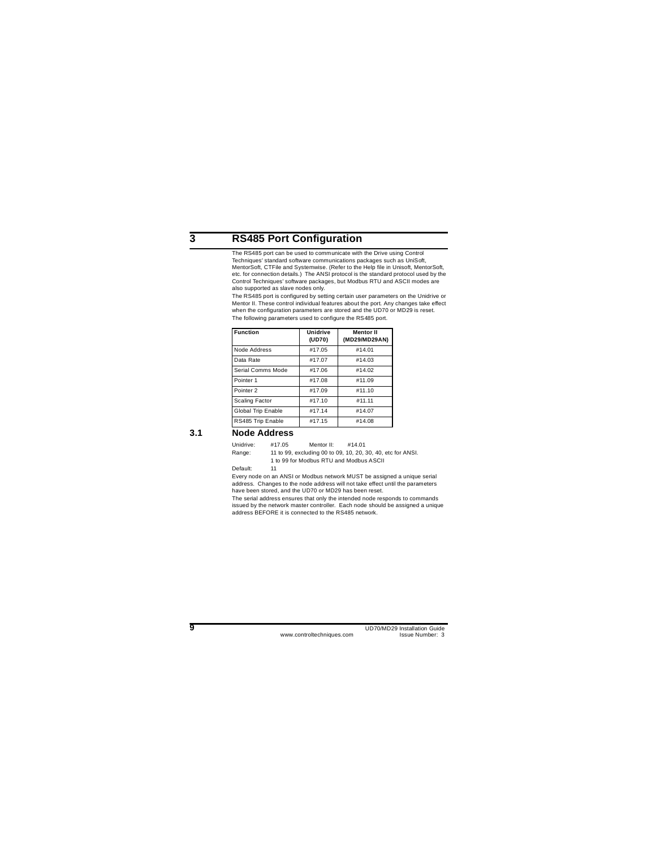## **3 RS485 Port Configuration**

The RS485 port can be used to communicate with the Drive using Control Techniques' standard software communications packages such as UniSoft, MentorSoft, CTFile and Systemwise. (Refer to the Help file in Unisoft, MentorSoft, etc. for connection details.) The ANSI protocol is the standard protocol used by the Control Techniques' software packages, but Modbus RTU and ASCII modes are also supported as slave nodes only.

The RS485 port is configured by setting certain user parameters on the Unidrive or Mentor II. These control individual features about the port. Any changes take effect when the configuration parameters are stored and the UD70 or MD29 is reset. The following parameters used to configure the RS485 port.

<span id="page-11-0"></span>

| <b>Function</b>       | <b>Unidrive</b><br>(UD70) | <b>Mentor II</b><br>(MD29/MD29AN) |
|-----------------------|---------------------------|-----------------------------------|
| Node Address          | #17.05                    | #14.01                            |
| Data Rate             | #17.07                    | #14.03                            |
| Serial Comms Mode     | #17.06                    | #14.02                            |
| Pointer <sub>1</sub>  | #17.08                    | #11.09                            |
| Pointer <sub>2</sub>  | #17.09                    | #11.10                            |
| <b>Scaling Factor</b> | #17.10                    | #11.11                            |
| Global Trip Enable    | #17.14                    | #14.07                            |
| RS485 Trip Enable     | #17.15                    | #14.08                            |

### **3.1 Node Address**

Unidrive: #17.05 Mentor II: #14.01 Range: 11 to 99, excluding 00 to 09, 10, 20, 30, 40, etc for ANSI. 1 to 99 for Modbus RTU and Modbus ASCII

Default: 11

Every node on an ANSI or Modbus network MUST be assigned a unique serial address. Changes to the node address will not take effect until the parameters have been stored, and the UD70 or MD29 has been reset.

<span id="page-11-1"></span>The serial address ensures that only the intended node responds to commands issued by the network master controller. Each node should be assigned a unique address BEFORE it is connected to the RS485 network.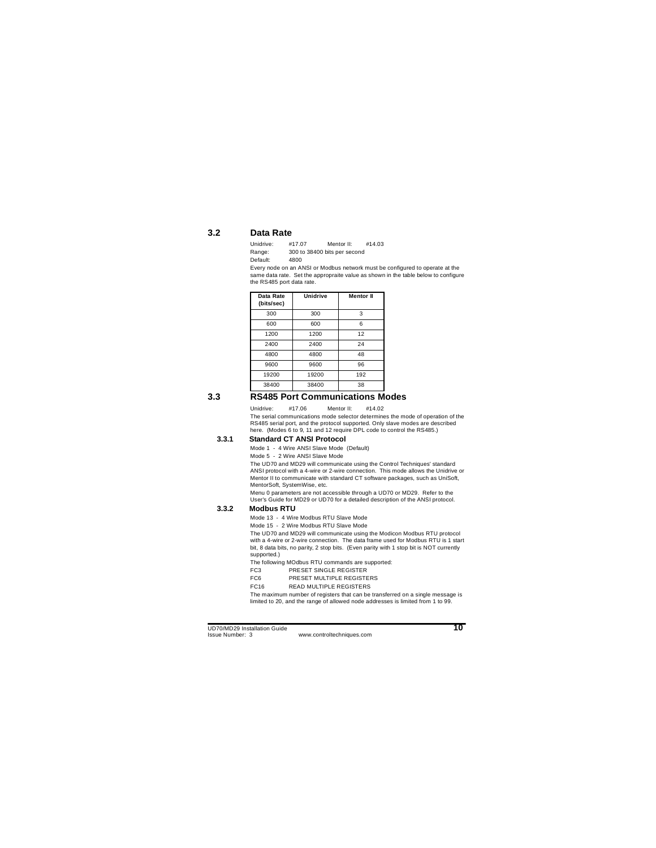### **3.2 Data Rate**

| Unidrive: | #17.07 | Mentor II:                   | #14.03 |
|-----------|--------|------------------------------|--------|
| Range:    |        | 300 to 38400 bits per second |        |
| Default:  | 4800   |                              |        |

Every node on an ANSI or Modbus network must be configured to operate at the same data rate. Set the appropraite value as shown in the table below to configure the RS485 port data rate.

<span id="page-12-0"></span>

| Data Rate<br>(bits/sec) | <b>Unidrive</b> | <b>Mentor II</b> |
|-------------------------|-----------------|------------------|
| 300                     | 300             | 3                |
| 600                     | 600             | 6                |
| 1200                    | 1200            | 12               |
| 2400                    | 2400            | 24               |
| 4800                    | 4800            | 48               |
| 9600                    | 9600            | 96               |
| 19200                   | 19200           | 192              |
| 38400                   | 38400           | 38               |

## **3.3 RS485 Port Communications Modes**

Unidrive: #17.06 Mentor II: #14.02

The serial communications mode selector determines the mode of operation of the RS485 serial port, and the protocol supported. Only slave modes are described here. (Modes 6 to 9, 11 and 12 require DPL code to control the RS485.)

#### **3.3.1 Standard CT ANSI Protocol**

Mode 1 - 4 Wire ANSI Slave Mode (Default)

Mode 5 - 2 Wire ANSI Slave Mode

The UD70 and MD29 will communicate using the Control Techniques' standard ANSI protocol with a 4-wire or 2-wire connection. This mode allows the Unidrive or Mentor II to communicate with standard CT software packages, such as UniSoft, MentorSoft, SystemWise, etc.

<span id="page-12-1"></span>Menu 0 parameters are not accessible through a UD70 or MD29. Refer to the User's Guide for MD29 or UD70 for a detailed description of the ANSI protocol.

#### **3.3.2 Modbus RTU**

Mode 13 - 4 Wire Modbus RTU Slave Mode

Mode 15 - 2 Wire Modbus RTU Slave Mode

The UD70 and MD29 will communicate using the Modicon Modbus RTU protocol with a 4-wire or 2-wire connection. The data frame used for Modbus RTU is 1 start bit, 8 data bits, no parity, 2 stop bits. (Even parity with 1 stop bit is NOT currently supported.)

The following MOdbus RTU commands are supported:

- FC3 PRESET SINGLE REGISTER
- FC6 PRESET MULTIPLE REGISTERS

FC16 READ MULTIPLE REGISTERS

The maximum number of registers that can be transferred on a single message is limited to 20, and the range of allowed node addresses is limited from 1 to 99.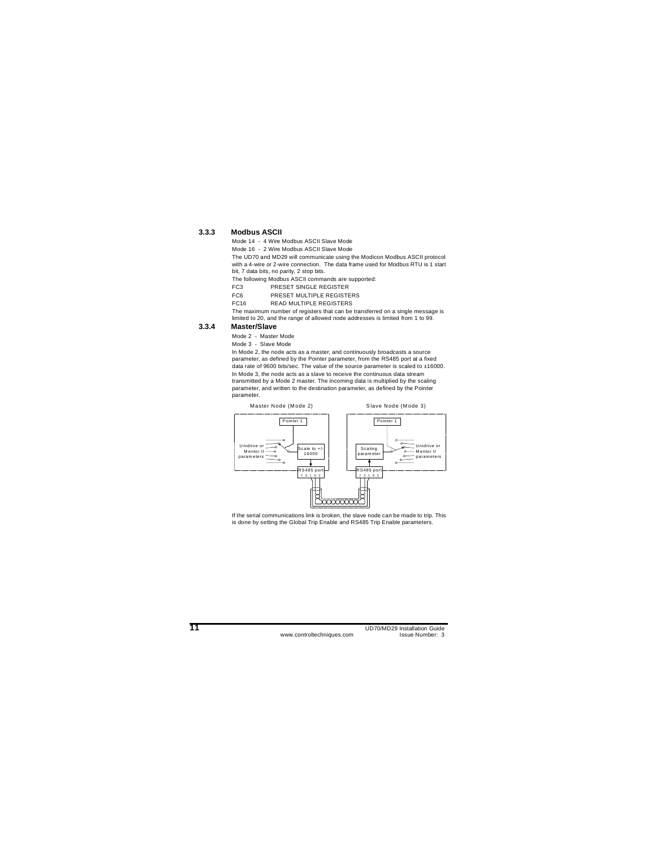#### **3.3.3 Modbus ASCII**

Mode 14 - 4 Wire Modbus ASCII Slave Mode

Mode 16 - 2 Wire Modbus ASCII Slave Mode

The UD70 and MD29 will communicate using the Modicon Modbus ASCII protocol with a 4-wire or 2-wire connection. The data frame used for Modbus RTU is 1 start bit, 7 data bits, no parity, 2 stop bits.

The following Modbus ASCII commands are supported:

FC3 PRESET SINGLE REGISTER

FC6 PRESET MULTIPLE REGISTERS

FC16 READ MULTIPLE REGISTERS

The maximum number of registers that can be transferred on a single message is limited to 20, and the range of allowed node addresses is limited from 1 to 99.

#### **3.3.4 Master/Slave**

Mode 2 - Master Mode

Mode 3 - Slave Mode

In Mode 2, the node acts as a master, and continuously broadcasts a source parameter, as defined by the Pointer parameter, from the RS485 port at a fixed data rate of 9600 bits/sec. The value of the source parameter is scaled to ±16000. In Mode 3, the node acts as a slave to receive the continuous data stream transmitted by a Mode 2 master. The incoming data is multiplied by the scaling parameter, and written to the destination parameter, as defined by the Pointer parameter.



If the serial communications link is broken, the slave node can be made to trip. This is done by setting the Global Trip Enable and RS485 Trip Enable parameters.